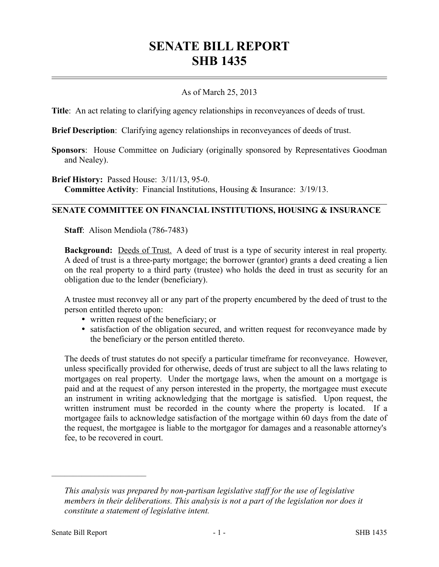# **SENATE BILL REPORT SHB 1435**

## As of March 25, 2013

**Title**: An act relating to clarifying agency relationships in reconveyances of deeds of trust.

**Brief Description**: Clarifying agency relationships in reconveyances of deeds of trust.

**Sponsors**: House Committee on Judiciary (originally sponsored by Representatives Goodman and Nealey).

**Brief History:** Passed House: 3/11/13, 95-0.

**Committee Activity**: Financial Institutions, Housing & Insurance: 3/19/13.

#### **SENATE COMMITTEE ON FINANCIAL INSTITUTIONS, HOUSING & INSURANCE**

**Staff**: Alison Mendiola (786-7483)

**Background:** Deeds of Trust. A deed of trust is a type of security interest in real property. A deed of trust is a three-party mortgage; the borrower (grantor) grants a deed creating a lien on the real property to a third party (trustee) who holds the deed in trust as security for an obligation due to the lender (beneficiary).

A trustee must reconvey all or any part of the property encumbered by the deed of trust to the person entitled thereto upon:

- written request of the beneficiary; or
- satisfaction of the obligation secured, and written request for reconveyance made by the beneficiary or the person entitled thereto.

The deeds of trust statutes do not specify a particular timeframe for reconveyance. However, unless specifically provided for otherwise, deeds of trust are subject to all the laws relating to mortgages on real property. Under the mortgage laws, when the amount on a mortgage is paid and at the request of any person interested in the property, the mortgagee must execute an instrument in writing acknowledging that the mortgage is satisfied. Upon request, the written instrument must be recorded in the county where the property is located. If a mortgagee fails to acknowledge satisfaction of the mortgage within 60 days from the date of the request, the mortgagee is liable to the mortgagor for damages and a reasonable attorney's fee, to be recovered in court.

––––––––––––––––––––––

*This analysis was prepared by non-partisan legislative staff for the use of legislative members in their deliberations. This analysis is not a part of the legislation nor does it constitute a statement of legislative intent.*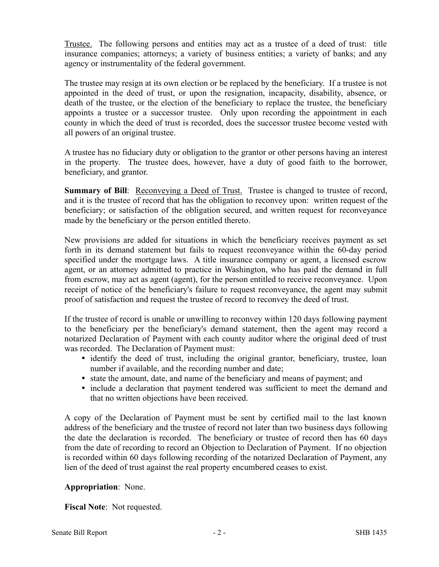Trustee. The following persons and entities may act as a trustee of a deed of trust: title insurance companies; attorneys; a variety of business entities; a variety of banks; and any agency or instrumentality of the federal government.

The trustee may resign at its own election or be replaced by the beneficiary. If a trustee is not appointed in the deed of trust, or upon the resignation, incapacity, disability, absence, or death of the trustee, or the election of the beneficiary to replace the trustee, the beneficiary appoints a trustee or a successor trustee. Only upon recording the appointment in each county in which the deed of trust is recorded, does the successor trustee become vested with all powers of an original trustee.

A trustee has no fiduciary duty or obligation to the grantor or other persons having an interest in the property. The trustee does, however, have a duty of good faith to the borrower, beneficiary, and grantor.

**Summary of Bill**: Reconveying a Deed of Trust. Trustee is changed to trustee of record, and it is the trustee of record that has the obligation to reconvey upon: written request of the beneficiary; or satisfaction of the obligation secured, and written request for reconveyance made by the beneficiary or the person entitled thereto.

New provisions are added for situations in which the beneficiary receives payment as set forth in its demand statement but fails to request reconveyance within the 60-day period specified under the mortgage laws. A title insurance company or agent, a licensed escrow agent, or an attorney admitted to practice in Washington, who has paid the demand in full from escrow, may act as agent (agent), for the person entitled to receive reconveyance. Upon receipt of notice of the beneficiary's failure to request reconveyance, the agent may submit proof of satisfaction and request the trustee of record to reconvey the deed of trust.

If the trustee of record is unable or unwilling to reconvey within 120 days following payment to the beneficiary per the beneficiary's demand statement, then the agent may record a notarized Declaration of Payment with each county auditor where the original deed of trust was recorded. The Declaration of Payment must:

- identify the deed of trust, including the original grantor, beneficiary, trustee, loan number if available, and the recording number and date;
- state the amount, date, and name of the beneficiary and means of payment; and
- include a declaration that payment tendered was sufficient to meet the demand and that no written objections have been received.

A copy of the Declaration of Payment must be sent by certified mail to the last known address of the beneficiary and the trustee of record not later than two business days following the date the declaration is recorded. The beneficiary or trustee of record then has 60 days from the date of recording to record an Objection to Declaration of Payment. If no objection is recorded within 60 days following recording of the notarized Declaration of Payment, any lien of the deed of trust against the real property encumbered ceases to exist.

# **Appropriation**: None.

**Fiscal Note**: Not requested.